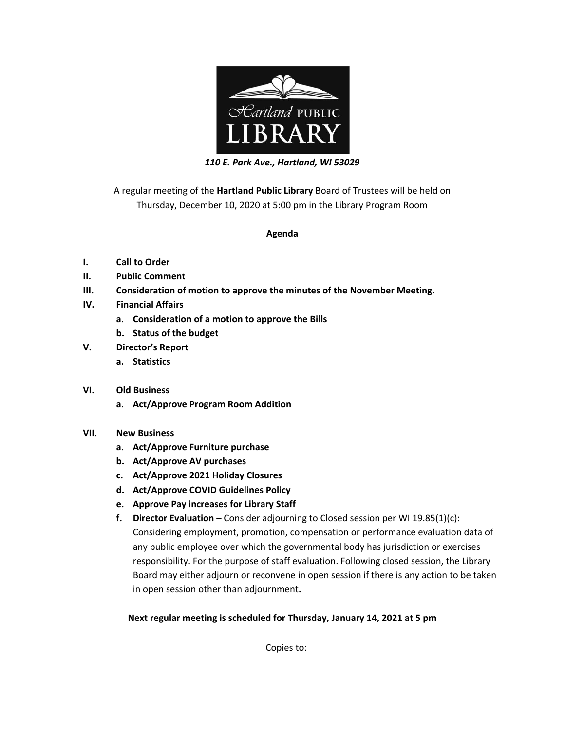

*110 E. Park Ave., Hartland, WI 53029*

A regular meeting of the **Hartland Public Library** Board of Trustees will be held on Thursday, December 10, 2020 at 5:00 pm in the Library Program Room

## **Agenda**

- **I. Call to Order**
- **II. Public Comment**
- **III. Consideration of motion to approve the minutes of the November Meeting.**
- **IV. Financial Affairs**
	- **a. Consideration of a motion to approve the Bills**
	- **b. Status of the budget**
- **V. Director's Report**
	- **a. Statistics**
- **VI. Old Business**
	- **a. Act/Approve Program Room Addition**
- **VII. New Business**
	- **a. Act/Approve Furniture purchase**
	- **b. Act/Approve AV purchases**
	- **c. Act/Approve 2021 Holiday Closures**
	- **d. Act/Approve COVID Guidelines Policy**
	- **e. Approve Pay increases for Library Staff**
	- **f. Director Evaluation –** Consider adjourning to Closed session per WI 19.85(1)(c): Considering employment, promotion, compensation or performance evaluation data of any public employee over which the governmental body has jurisdiction or exercises responsibility. For the purpose of staff evaluation. Following closed session, the Library Board may either adjourn or reconvene in open session if there is any action to be taken in open session other than adjournment**.**

## **Next regular meeting is scheduled for Thursday, January 14, 2021 at 5 pm**

Copies to: